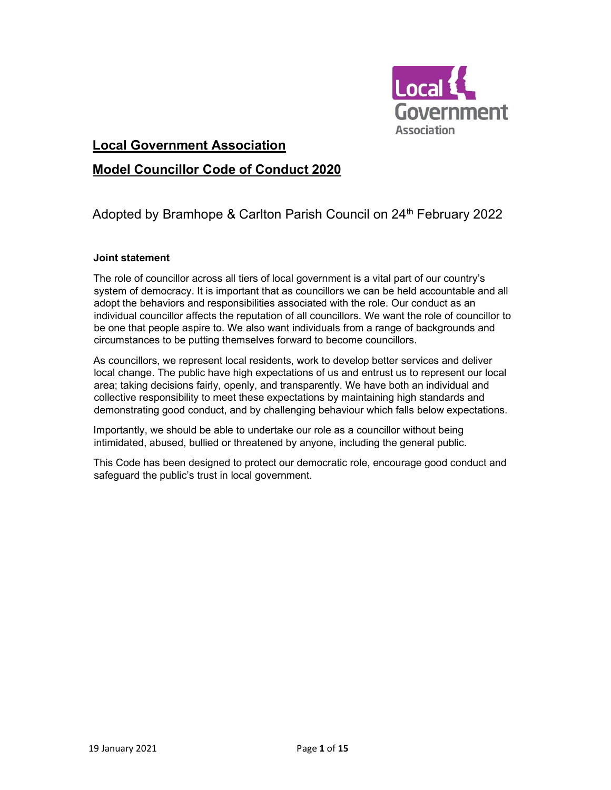

# Local Government Association Model Councillor Code of Conduct 2020

## Adopted by Bramhope & Carlton Parish Council on 24<sup>th</sup> February 2022

### Joint statement

The role of councillor across all tiers of local government is a vital part of our country's system of democracy. It is important that as councillors we can be held accountable and all adopt the behaviors and responsibilities associated with the role. Our conduct as an individual councillor affects the reputation of all councillors. We want the role of councillor to be one that people aspire to. We also want individuals from a range of backgrounds and circumstances to be putting themselves forward to become councillors.

As councillors, we represent local residents, work to develop better services and deliver local change. The public have high expectations of us and entrust us to represent our local area; taking decisions fairly, openly, and transparently. We have both an individual and collective responsibility to meet these expectations by maintaining high standards and demonstrating good conduct, and by challenging behaviour which falls below expectations.

Importantly, we should be able to undertake our role as a councillor without being intimidated, abused, bullied or threatened by anyone, including the general public.

This Code has been designed to protect our democratic role, encourage good conduct and safeguard the public's trust in local government.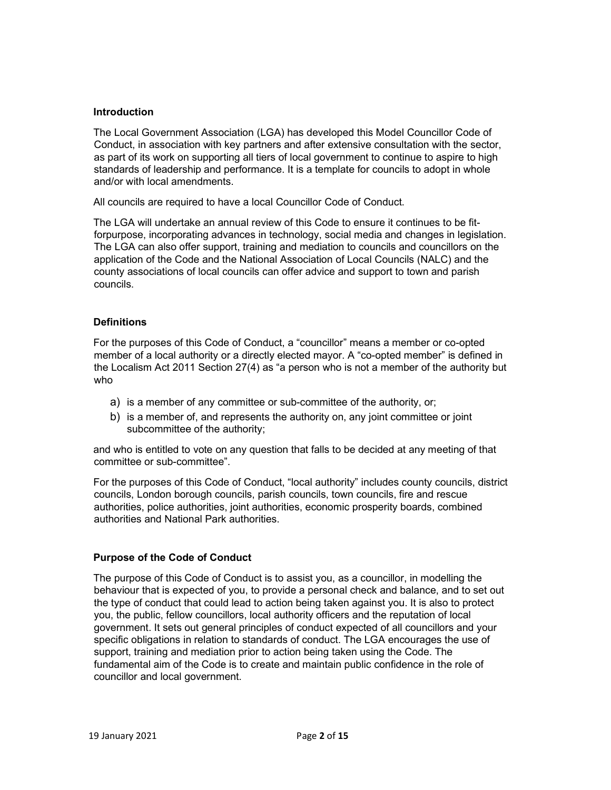### Introduction

The Local Government Association (LGA) has developed this Model Councillor Code of Conduct, in association with key partners and after extensive consultation with the sector, as part of its work on supporting all tiers of local government to continue to aspire to high standards of leadership and performance. It is a template for councils to adopt in whole and/or with local amendments.

All councils are required to have a local Councillor Code of Conduct.

The LGA will undertake an annual review of this Code to ensure it continues to be fitforpurpose, incorporating advances in technology, social media and changes in legislation. The LGA can also offer support, training and mediation to councils and councillors on the application of the Code and the National Association of Local Councils (NALC) and the county associations of local councils can offer advice and support to town and parish councils.

### **Definitions**

For the purposes of this Code of Conduct, a "councillor" means a member or co-opted member of a local authority or a directly elected mayor. A "co-opted member" is defined in the Localism Act 2011 Section 27(4) as "a person who is not a member of the authority but who

- a) is a member of any committee or sub-committee of the authority, or;
- b) is a member of, and represents the authority on, any joint committee or joint subcommittee of the authority;

and who is entitled to vote on any question that falls to be decided at any meeting of that committee or sub-committee".

For the purposes of this Code of Conduct, "local authority" includes county councils, district councils, London borough councils, parish councils, town councils, fire and rescue authorities, police authorities, joint authorities, economic prosperity boards, combined authorities and National Park authorities.

### Purpose of the Code of Conduct

The purpose of this Code of Conduct is to assist you, as a councillor, in modelling the behaviour that is expected of you, to provide a personal check and balance, and to set out the type of conduct that could lead to action being taken against you. It is also to protect you, the public, fellow councillors, local authority officers and the reputation of local government. It sets out general principles of conduct expected of all councillors and your specific obligations in relation to standards of conduct. The LGA encourages the use of support, training and mediation prior to action being taken using the Code. The fundamental aim of the Code is to create and maintain public confidence in the role of councillor and local government.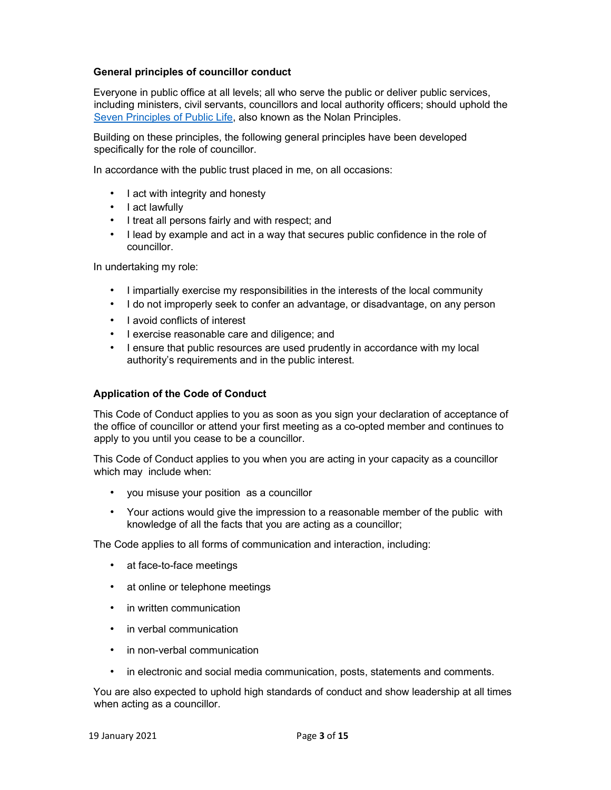### General principles of councillor conduct

Everyone in public office at all levels; all who serve the public or deliver public services, including ministers, civil servants, councillors and local authority officers; should uphold the Seven Principles of Public Life, also known as the Nolan Principles.

Building on these principles, the following general principles have been developed specifically for the role of councillor.

In accordance with the public trust placed in me, on all occasions:

- I act with integrity and honesty
- I act lawfully
- I treat all persons fairly and with respect; and
- I lead by example and act in a way that secures public confidence in the role of councillor.

In undertaking my role:

- I impartially exercise my responsibilities in the interests of the local community
- I do not improperly seek to confer an advantage, or disadvantage, on any person
- I avoid conflicts of interest
- I exercise reasonable care and diligence; and
- I ensure that public resources are used prudently in accordance with my local authority's requirements and in the public interest.

### Application of the Code of Conduct

This Code of Conduct applies to you as soon as you sign your declaration of acceptance of the office of councillor or attend your first meeting as a co-opted member and continues to apply to you until you cease to be a councillor.

This Code of Conduct applies to you when you are acting in your capacity as a councillor which may include when:

- you misuse your position as a councillor
- Your actions would give the impression to a reasonable member of the public with knowledge of all the facts that you are acting as a councillor;

The Code applies to all forms of communication and interaction, including:

- at face-to-face meetings
- at online or telephone meetings
- in written communication
- in verbal communication
- in non-verbal communication
- in electronic and social media communication, posts, statements and comments.

You are also expected to uphold high standards of conduct and show leadership at all times when acting as a councillor.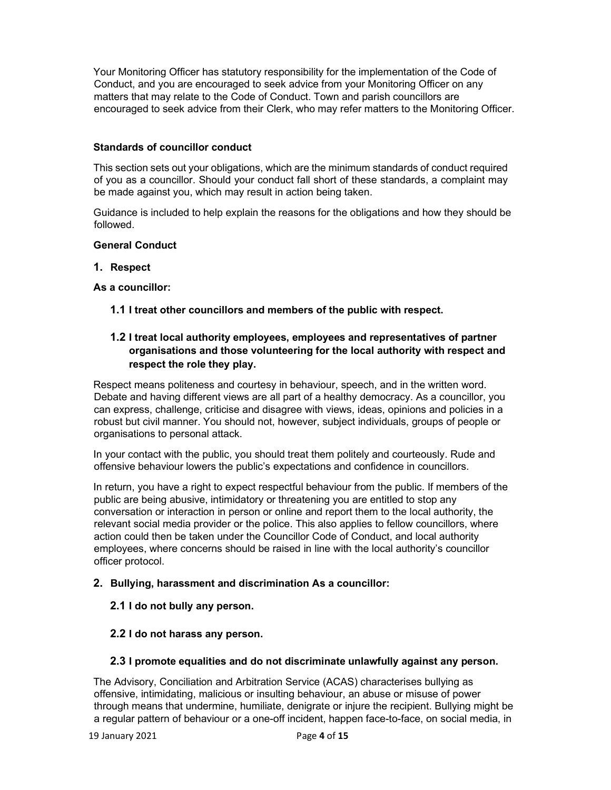Your Monitoring Officer has statutory responsibility for the implementation of the Code of Conduct, and you are encouraged to seek advice from your Monitoring Officer on any matters that may relate to the Code of Conduct. Town and parish councillors are encouraged to seek advice from their Clerk, who may refer matters to the Monitoring Officer.

### Standards of councillor conduct

This section sets out your obligations, which are the minimum standards of conduct required of you as a councillor. Should your conduct fall short of these standards, a complaint may be made against you, which may result in action being taken.

Guidance is included to help explain the reasons for the obligations and how they should be followed.

### General Conduct

### 1. Respect

As a councillor:

1.1 I treat other councillors and members of the public with respect.

### 1.2 I treat local authority employees, employees and representatives of partner organisations and those volunteering for the local authority with respect and respect the role they play.

Respect means politeness and courtesy in behaviour, speech, and in the written word. Debate and having different views are all part of a healthy democracy. As a councillor, you can express, challenge, criticise and disagree with views, ideas, opinions and policies in a robust but civil manner. You should not, however, subject individuals, groups of people or organisations to personal attack.

In your contact with the public, you should treat them politely and courteously. Rude and offensive behaviour lowers the public's expectations and confidence in councillors.

In return, you have a right to expect respectful behaviour from the public. If members of the public are being abusive, intimidatory or threatening you are entitled to stop any conversation or interaction in person or online and report them to the local authority, the relevant social media provider or the police. This also applies to fellow councillors, where action could then be taken under the Councillor Code of Conduct, and local authority employees, where concerns should be raised in line with the local authority's councillor officer protocol.

### 2. Bullying, harassment and discrimination As a councillor:

### 2.1 I do not bully any person.

### 2.2 I do not harass any person.

### 2.3 I promote equalities and do not discriminate unlawfully against any person.

The Advisory, Conciliation and Arbitration Service (ACAS) characterises bullying as offensive, intimidating, malicious or insulting behaviour, an abuse or misuse of power through means that undermine, humiliate, denigrate or injure the recipient. Bullying might be a regular pattern of behaviour or a one-off incident, happen face-to-face, on social media, in

19 January 2021 **Page 4 of 15**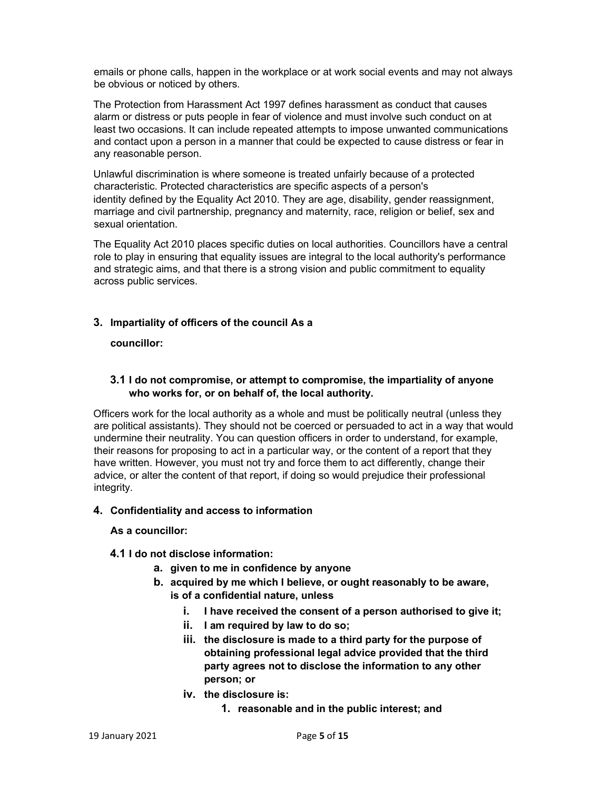emails or phone calls, happen in the workplace or at work social events and may not always be obvious or noticed by others.

The Protection from Harassment Act 1997 defines harassment as conduct that causes alarm or distress or puts people in fear of violence and must involve such conduct on at least two occasions. It can include repeated attempts to impose unwanted communications and contact upon a person in a manner that could be expected to cause distress or fear in any reasonable person.

Unlawful discrimination is where someone is treated unfairly because of a protected characteristic. Protected characteristics are specific aspects of a person's identity defined by the Equality Act 2010. They are age, disability, gender reassignment, marriage and civil partnership, pregnancy and maternity, race, religion or belief, sex and sexual orientation.

The Equality Act 2010 places specific duties on local authorities. Councillors have a central role to play in ensuring that equality issues are integral to the local authority's performance and strategic aims, and that there is a strong vision and public commitment to equality across public services.

### 3. Impartiality of officers of the council As a

### councillor:

### 3.1 I do not compromise, or attempt to compromise, the impartiality of anyone who works for, or on behalf of, the local authority.

Officers work for the local authority as a whole and must be politically neutral (unless they are political assistants). They should not be coerced or persuaded to act in a way that would undermine their neutrality. You can question officers in order to understand, for example, their reasons for proposing to act in a particular way, or the content of a report that they have written. However, you must not try and force them to act differently, change their advice, or alter the content of that report, if doing so would prejudice their professional integrity.

### 4. Confidentiality and access to information

As a councillor:

### 4.1 I do not disclose information:

- a. given to me in confidence by anyone
- b. acquired by me which I believe, or ought reasonably to be aware, is of a confidential nature, unless
	- i. I have received the consent of a person authorised to give it;
	- ii. I am required by law to do so;
	- iii. the disclosure is made to a third party for the purpose of obtaining professional legal advice provided that the third party agrees not to disclose the information to any other person; or
	- iv. the disclosure is:
		- 1. reasonable and in the public interest; and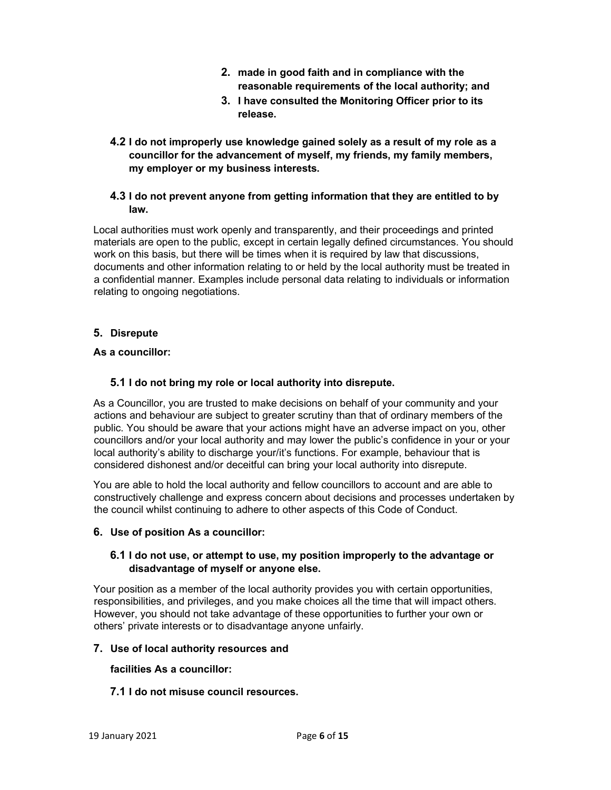- 2. made in good faith and in compliance with the reasonable requirements of the local authority; and
- 3. I have consulted the Monitoring Officer prior to its release.
- 4.2 I do not improperly use knowledge gained solely as a result of my role as a councillor for the advancement of myself, my friends, my family members, my employer or my business interests.

### 4.3 I do not prevent anyone from getting information that they are entitled to by law.

Local authorities must work openly and transparently, and their proceedings and printed materials are open to the public, except in certain legally defined circumstances. You should work on this basis, but there will be times when it is required by law that discussions, documents and other information relating to or held by the local authority must be treated in a confidential manner. Examples include personal data relating to individuals or information relating to ongoing negotiations.

### 5. Disrepute

### As a councillor:

### 5.1 I do not bring my role or local authority into disrepute.

As a Councillor, you are trusted to make decisions on behalf of your community and your actions and behaviour are subject to greater scrutiny than that of ordinary members of the public. You should be aware that your actions might have an adverse impact on you, other councillors and/or your local authority and may lower the public's confidence in your or your local authority's ability to discharge your/it's functions. For example, behaviour that is considered dishonest and/or deceitful can bring your local authority into disrepute.

You are able to hold the local authority and fellow councillors to account and are able to constructively challenge and express concern about decisions and processes undertaken by the council whilst continuing to adhere to other aspects of this Code of Conduct.

### 6. Use of position As a councillor:

### 6.1 I do not use, or attempt to use, my position improperly to the advantage or disadvantage of myself or anyone else.

Your position as a member of the local authority provides you with certain opportunities, responsibilities, and privileges, and you make choices all the time that will impact others. However, you should not take advantage of these opportunities to further your own or others' private interests or to disadvantage anyone unfairly.

### 7. Use of local authority resources and

### facilities As a councillor:

### 7.1 I do not misuse council resources.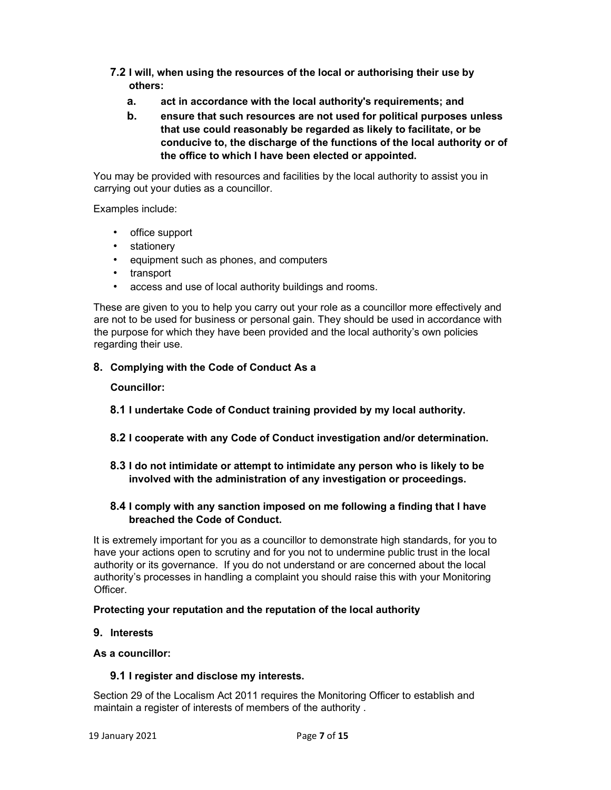- 7.2 I will, when using the resources of the local or authorising their use by others:
	- a. act in accordance with the local authority's requirements; and
	- b. ensure that such resources are not used for political purposes unless that use could reasonably be regarded as likely to facilitate, or be conducive to, the discharge of the functions of the local authority or of the office to which I have been elected or appointed.

You may be provided with resources and facilities by the local authority to assist you in carrying out your duties as a councillor.

Examples include:

- office support
- stationery
- equipment such as phones, and computers
- transport
- access and use of local authority buildings and rooms.

These are given to you to help you carry out your role as a councillor more effectively and are not to be used for business or personal gain. They should be used in accordance with the purpose for which they have been provided and the local authority's own policies regarding their use.

### 8. Complying with the Code of Conduct As a

### Councillor:

- 8.1 I undertake Code of Conduct training provided by my local authority.
- 8.2 I cooperate with any Code of Conduct investigation and/or determination.
- 8.3 I do not intimidate or attempt to intimidate any person who is likely to be involved with the administration of any investigation or proceedings.

### 8.4 I comply with any sanction imposed on me following a finding that I have breached the Code of Conduct.

It is extremely important for you as a councillor to demonstrate high standards, for you to have your actions open to scrutiny and for you not to undermine public trust in the local authority or its governance. If you do not understand or are concerned about the local authority's processes in handling a complaint you should raise this with your Monitoring Officer.

#### Protecting your reputation and the reputation of the local authority

### 9. Interests

### As a councillor:

#### 9.1 I register and disclose my interests.

Section 29 of the Localism Act 2011 requires the Monitoring Officer to establish and maintain a register of interests of members of the authority .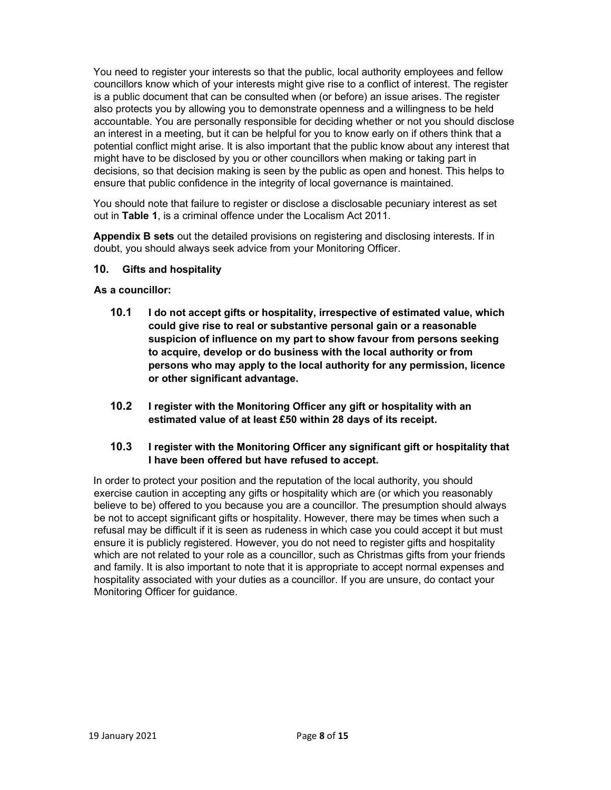You need to register your interests so that the public, local authority employees and fellow councillors know which of your interests might give rise to a conflict of interest. The register is a public document that can be consulted when (or before) an issue arises. The register also protects you by allowing you to demonstrate openness and a willingness to be held accountable. You are personally responsible for deciding whether or not you should disclose an interest in a meeting, but it can be helpful for you to know early on if others think that a potential conflict might arise. It is also important that the public know about any interest that might have to be disclosed by you or other councillors when making or taking part in decisions, so that decision making is seen by the public as open and honest. This helps to ensure that public confidence in the integrity of local governance is maintained.

You should note that failure to register or disclose a disclosable pecuniary interest as set out in Table 1, is a criminal offence under the Localism Act 2011.

Appendix B sets out the detailed provisions on registering and disclosing interests. If in doubt, you should always seek advice from your Monitoring Officer.

10. Gifts and hospitality

As a councillor:

- 10.1 I do not accept gifts or hospitality, irrespective of estimated value, which could give rise to real or substantive personal gain or a reasonable suspicion of influence on my part to show favour from persons seeking to acquire, develop or do business with the local authority or from persons who may apply to the local authority for any permission, licence or other significant advantage.
- 10.2 I register with the Monitoring Officer any gift or hospitality with an estimated value of at least £50 within 28 days of its receipt.

### 10.3 I register with the Monitoring Officer any significant gift or hospitality that I have been offered but have refused to accept.

In order to protect your position and the reputation of the local authority, you should exercise caution in accepting any gifts or hospitality which are (or which you reasonably believe to be) offered to you because you are a councillor. The presumption should always be not to accept significant gifts or hospitality. However, there may be times when such a refusal may be difficult if it is seen as rudeness in which case you could accept it but must ensure it is publicly registered. However, you do not need to register gifts and hospitality which are not related to your role as a councillor, such as Christmas gifts from your friends and family. It is also important to note that it is appropriate to accept normal expenses and hospitality associated with your duties as a councillor. If you are unsure, do contact your Monitoring Officer for guidance.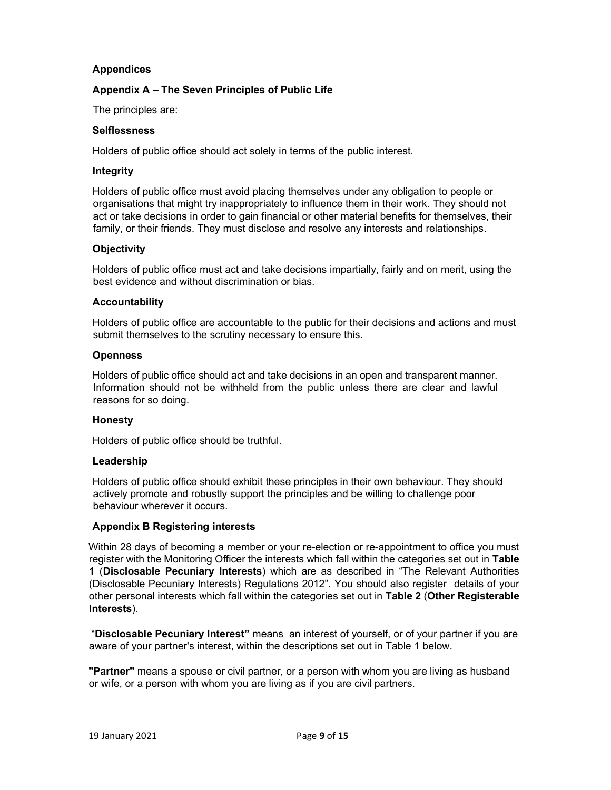### Appendices

### Appendix A – The Seven Principles of Public Life

The principles are:

### **Selflessness**

Holders of public office should act solely in terms of the public interest.

### Integrity

Holders of public office must avoid placing themselves under any obligation to people or organisations that might try inappropriately to influence them in their work. They should not act or take decisions in order to gain financial or other material benefits for themselves, their family, or their friends. They must disclose and resolve any interests and relationships.

### **Objectivity**

Holders of public office must act and take decisions impartially, fairly and on merit, using the best evidence and without discrimination or bias.

### Accountability

Holders of public office are accountable to the public for their decisions and actions and must submit themselves to the scrutiny necessary to ensure this.

### **Openness**

Holders of public office should act and take decisions in an open and transparent manner. Information should not be withheld from the public unless there are clear and lawful reasons for so doing.

#### Honesty

Holders of public office should be truthful.

#### Leadership

Holders of public office should exhibit these principles in their own behaviour. They should actively promote and robustly support the principles and be willing to challenge poor behaviour wherever it occurs.

### Appendix B Registering interests

Within 28 days of becoming a member or your re-election or re-appointment to office you must register with the Monitoring Officer the interests which fall within the categories set out in Table 1 (Disclosable Pecuniary Interests) which are as described in "The Relevant Authorities (Disclosable Pecuniary Interests) Regulations 2012". You should also register details of your other personal interests which fall within the categories set out in Table 2 (Other Registerable Interests).

 "Disclosable Pecuniary Interest" means an interest of yourself, or of your partner if you are aware of your partner's interest, within the descriptions set out in Table 1 below.

"Partner" means a spouse or civil partner, or a person with whom you are living as husband or wife, or a person with whom you are living as if you are civil partners.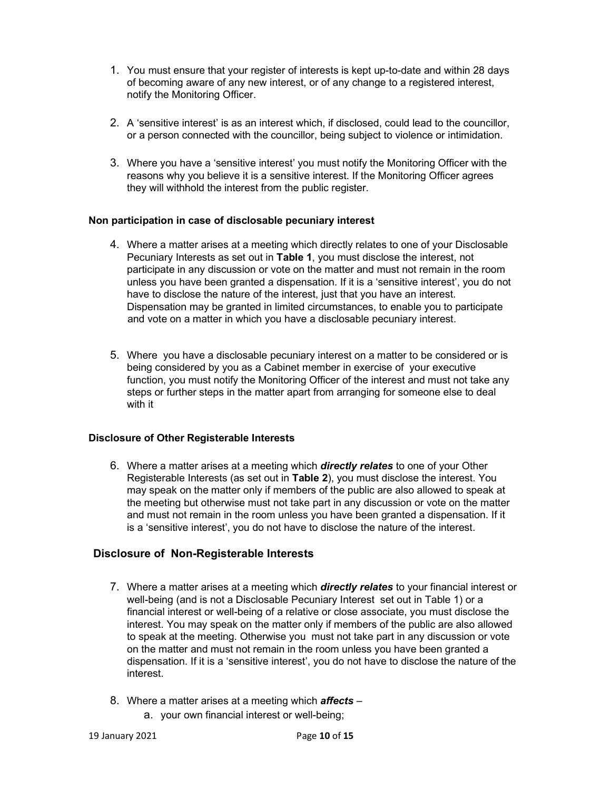- 1. You must ensure that your register of interests is kept up-to-date and within 28 days of becoming aware of any new interest, or of any change to a registered interest, notify the Monitoring Officer.
- 2. A 'sensitive interest' is as an interest which, if disclosed, could lead to the councillor, or a person connected with the councillor, being subject to violence or intimidation.
- 3. Where you have a 'sensitive interest' you must notify the Monitoring Officer with the reasons why you believe it is a sensitive interest. If the Monitoring Officer agrees they will withhold the interest from the public register.

### Non participation in case of disclosable pecuniary interest

- 4. Where a matter arises at a meeting which directly relates to one of your Disclosable Pecuniary Interests as set out in Table 1, you must disclose the interest, not participate in any discussion or vote on the matter and must not remain in the room unless you have been granted a dispensation. If it is a 'sensitive interest', you do not have to disclose the nature of the interest, just that you have an interest. Dispensation may be granted in limited circumstances, to enable you to participate and vote on a matter in which you have a disclosable pecuniary interest.
- 5. Where you have a disclosable pecuniary interest on a matter to be considered or is being considered by you as a Cabinet member in exercise of your executive function, you must notify the Monitoring Officer of the interest and must not take any steps or further steps in the matter apart from arranging for someone else to deal with it

#### Disclosure of Other Registerable Interests

6. Where a matter arises at a meeting which **directly relates** to one of your Other Registerable Interests (as set out in Table 2), you must disclose the interest. You may speak on the matter only if members of the public are also allowed to speak at the meeting but otherwise must not take part in any discussion or vote on the matter and must not remain in the room unless you have been granted a dispensation. If it is a 'sensitive interest', you do not have to disclose the nature of the interest.

### Disclosure of Non-Registerable Interests

- 7. Where a matter arises at a meeting which **directly relates** to your financial interest or well-being (and is not a Disclosable Pecuniary Interest set out in Table 1) or a financial interest or well-being of a relative or close associate, you must disclose the interest. You may speak on the matter only if members of the public are also allowed to speak at the meeting. Otherwise you must not take part in any discussion or vote on the matter and must not remain in the room unless you have been granted a dispensation. If it is a 'sensitive interest', you do not have to disclose the nature of the interest.
- 8. Where a matter arises at a meeting which **affects**
	- a. your own financial interest or well-being;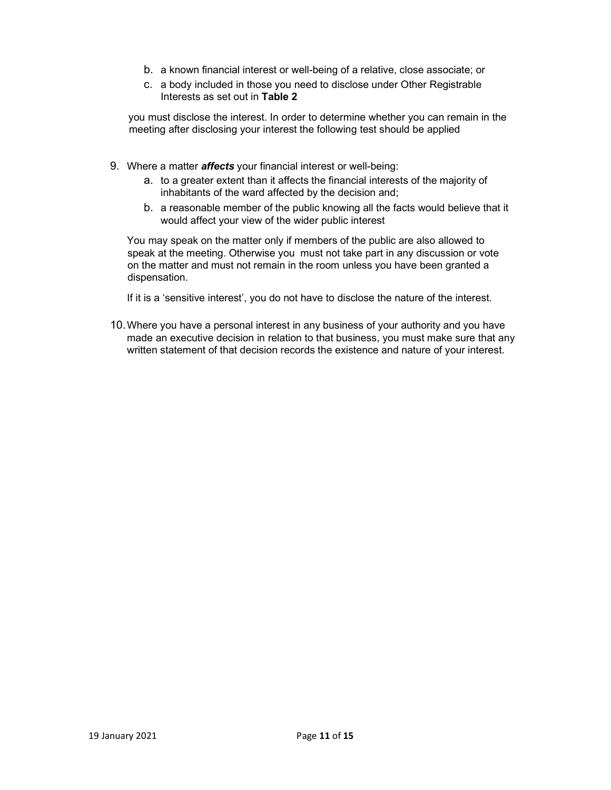- b. a known financial interest or well-being of a relative, close associate; or
- c. a body included in those you need to disclose under Other Registrable Interests as set out in Table 2

you must disclose the interest. In order to determine whether you can remain in the meeting after disclosing your interest the following test should be applied

- 9. Where a matter **affects** your financial interest or well-being:
	- a. to a greater extent than it affects the financial interests of the majority of inhabitants of the ward affected by the decision and;
	- b. a reasonable member of the public knowing all the facts would believe that it would affect your view of the wider public interest

You may speak on the matter only if members of the public are also allowed to speak at the meeting. Otherwise you must not take part in any discussion or vote on the matter and must not remain in the room unless you have been granted a dispensation.

If it is a 'sensitive interest', you do not have to disclose the nature of the interest.

10. Where you have a personal interest in any business of your authority and you have made an executive decision in relation to that business, you must make sure that any written statement of that decision records the existence and nature of your interest.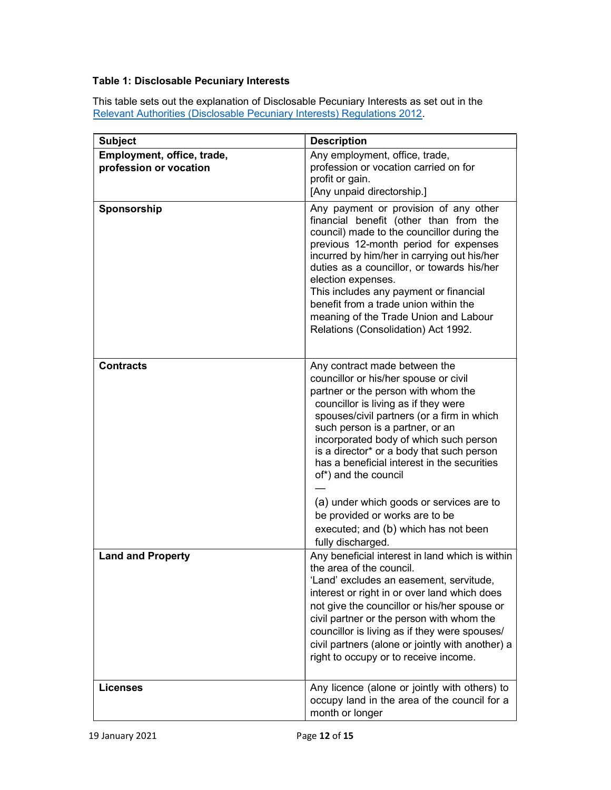### Table 1: Disclosable Pecuniary Interests

This table sets out the explanation of Disclosable Pecuniary Interests as set out in the Relevant Authorities (Disclosable Pecuniary Interests) Regulations 2012.

| <b>Subject</b>                                       | <b>Description</b>                                                                                                                                                                                                                                                                                                                                                                                                                                           |
|------------------------------------------------------|--------------------------------------------------------------------------------------------------------------------------------------------------------------------------------------------------------------------------------------------------------------------------------------------------------------------------------------------------------------------------------------------------------------------------------------------------------------|
| Employment, office, trade,<br>profession or vocation | Any employment, office, trade,<br>profession or vocation carried on for<br>profit or gain.<br>[Any unpaid directorship.]                                                                                                                                                                                                                                                                                                                                     |
| Sponsorship                                          | Any payment or provision of any other<br>financial benefit (other than from the<br>council) made to the councillor during the<br>previous 12-month period for expenses<br>incurred by him/her in carrying out his/her<br>duties as a councillor, or towards his/her<br>election expenses.<br>This includes any payment or financial<br>benefit from a trade union within the<br>meaning of the Trade Union and Labour<br>Relations (Consolidation) Act 1992. |
| <b>Contracts</b>                                     | Any contract made between the<br>councillor or his/her spouse or civil<br>partner or the person with whom the<br>councillor is living as if they were<br>spouses/civil partners (or a firm in which<br>such person is a partner, or an<br>incorporated body of which such person<br>is a director* or a body that such person<br>has a beneficial interest in the securities<br>of*) and the council<br>(a) under which goods or services are to             |
|                                                      | be provided or works are to be<br>executed; and (b) which has not been<br>fully discharged.                                                                                                                                                                                                                                                                                                                                                                  |
| <b>Land and Property</b>                             | Any beneficial interest in land which is within<br>the area of the council.<br>'Land' excludes an easement, servitude,<br>interest or right in or over land which does<br>not give the councillor or his/her spouse or<br>civil partner or the person with whom the<br>councillor is living as if they were spouses/<br>civil partners (alone or jointly with another) a<br>right to occupy or to receive income.                                            |
| <b>Licenses</b>                                      | Any licence (alone or jointly with others) to<br>occupy land in the area of the council for a<br>month or longer                                                                                                                                                                                                                                                                                                                                             |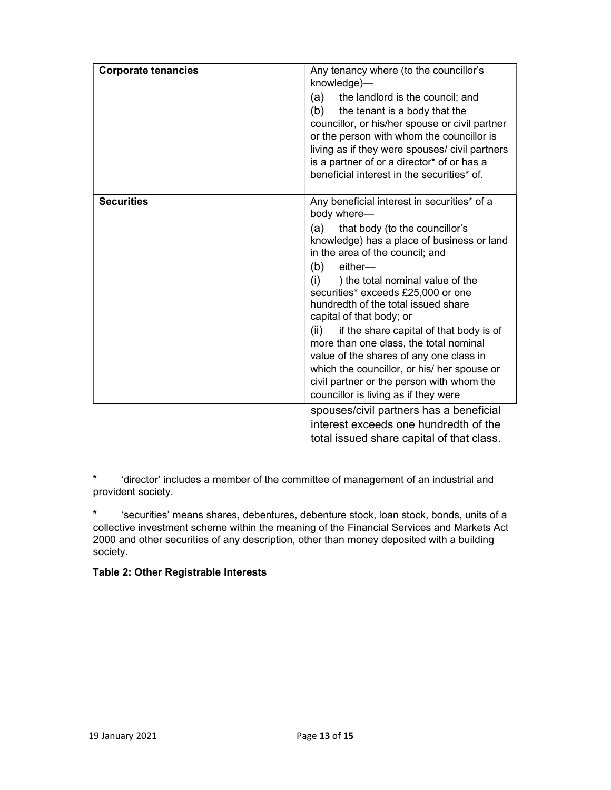| <b>Corporate tenancies</b> | Any tenancy where (to the councillor's<br>knowledge)—<br>(a)<br>the landlord is the council; and<br>(b)<br>the tenant is a body that the<br>councillor, or his/her spouse or civil partner<br>or the person with whom the councillor is<br>living as if they were spouses/ civil partners<br>is a partner of or a director* of or has a<br>beneficial interest in the securities* of.                                                                                                                                                                                                                                                  |
|----------------------------|----------------------------------------------------------------------------------------------------------------------------------------------------------------------------------------------------------------------------------------------------------------------------------------------------------------------------------------------------------------------------------------------------------------------------------------------------------------------------------------------------------------------------------------------------------------------------------------------------------------------------------------|
| <b>Securities</b>          | Any beneficial interest in securities* of a<br>body where-<br>that body (to the councillor's<br>(a)<br>knowledge) has a place of business or land<br>in the area of the council; and<br>(b)<br>either-<br>(i)<br>) the total nominal value of the<br>securities* exceeds £25,000 or one<br>hundredth of the total issued share<br>capital of that body; or<br>if the share capital of that body is of<br>(ii)<br>more than one class, the total nominal<br>value of the shares of any one class in<br>which the councillor, or his/ her spouse or<br>civil partner or the person with whom the<br>councillor is living as if they were |
|                            | spouses/civil partners has a beneficial<br>interest exceeds one hundredth of the<br>total issued share capital of that class.                                                                                                                                                                                                                                                                                                                                                                                                                                                                                                          |

\* 'director' includes a member of the committee of management of an industrial and provident society.

\* 'securities' means shares, debentures, debenture stock, loan stock, bonds, units of a collective investment scheme within the meaning of the Financial Services and Markets Act 2000 and other securities of any description, other than money deposited with a building society.

### Table 2: Other Registrable Interests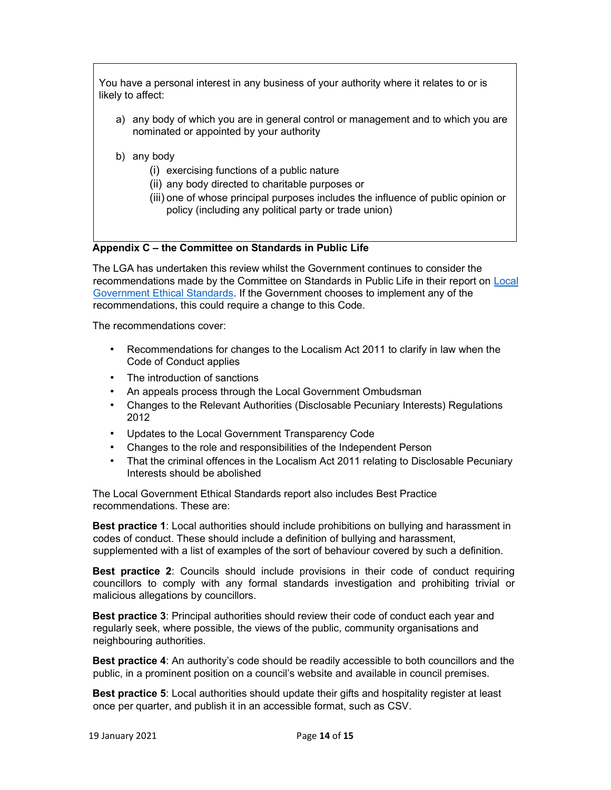You have a personal interest in any business of your authority where it relates to or is likely to affect:

- a) any body of which you are in general control or management and to which you are nominated or appointed by your authority
- b) any body
	- (i) exercising functions of a public nature
	- (ii) any body directed to charitable purposes or
	- (iii) one of whose principal purposes includes the influence of public opinion or policy (including any political party or trade union)

### Appendix C – the Committee on Standards in Public Life

The LGA has undertaken this review whilst the Government continues to consider the recommendations made by the Committee on Standards in Public Life in their report on Local Government Ethical Standards. If the Government chooses to implement any of the recommendations, this could require a change to this Code.

The recommendations cover:

- Recommendations for changes to the Localism Act 2011 to clarify in law when the Code of Conduct applies
- The introduction of sanctions
- An appeals process through the Local Government Ombudsman
- Changes to the Relevant Authorities (Disclosable Pecuniary Interests) Regulations 2012
- Updates to the Local Government Transparency Code
- Changes to the role and responsibilities of the Independent Person
- That the criminal offences in the Localism Act 2011 relating to Disclosable Pecuniary Interests should be abolished

The Local Government Ethical Standards report also includes Best Practice recommendations. These are:

Best practice 1: Local authorities should include prohibitions on bullying and harassment in codes of conduct. These should include a definition of bullying and harassment, supplemented with a list of examples of the sort of behaviour covered by such a definition.

Best practice 2: Councils should include provisions in their code of conduct requiring councillors to comply with any formal standards investigation and prohibiting trivial or malicious allegations by councillors.

Best practice 3: Principal authorities should review their code of conduct each year and regularly seek, where possible, the views of the public, community organisations and neighbouring authorities.

Best practice 4: An authority's code should be readily accessible to both councillors and the public, in a prominent position on a council's website and available in council premises.

Best practice 5: Local authorities should update their gifts and hospitality register at least once per quarter, and publish it in an accessible format, such as CSV.